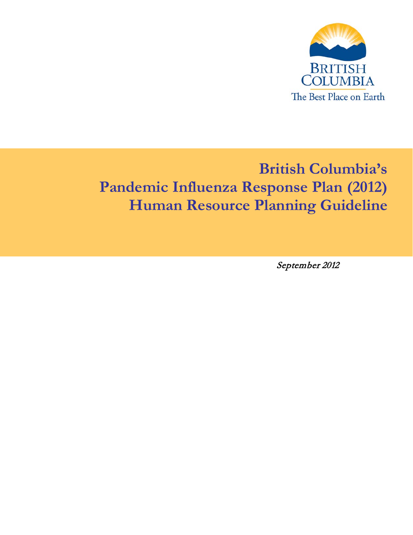

# **British Columbia's Pandemic Influenza Response Plan (2012) Human Resource Planning Guideline**

September 2012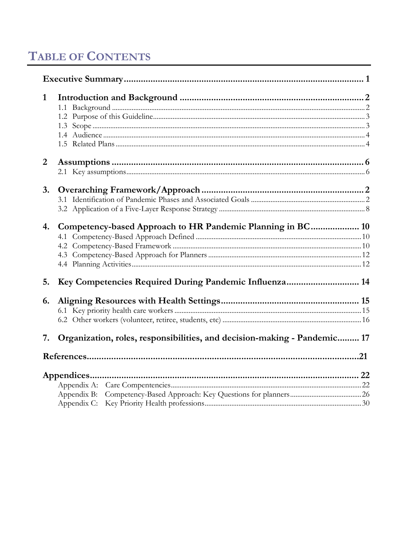# **TABLE OF CONTENTS**

| 1              |                                                                          |  |
|----------------|--------------------------------------------------------------------------|--|
| $\overline{2}$ |                                                                          |  |
| 3.             |                                                                          |  |
| 4.             | Competency-based Approach to HR Pandemic Planning in BC 10               |  |
| 5.             | Key Competencies Required During Pandemic Influenza 14                   |  |
| 6.             |                                                                          |  |
| 7.             | Organization, roles, responsibilities, and decision-making - Pandemic 17 |  |
|                |                                                                          |  |
|                |                                                                          |  |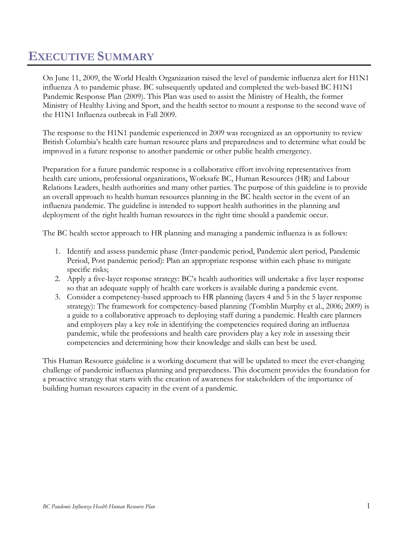# <span id="page-2-0"></span>**EXECUTIVE SUMMARY**

On June 11, 2009, the World Health Organization raised the level of pandemic influenza alert for H1N1 influenza A to pandemic phase. BC subsequently updated and completed the web-based BC H1N1 Pandemic Response Plan (2009). This Plan was used to assist the Ministry of Health, the former Ministry of Healthy Living and Sport, and the health sector to mount a response to the second wave of the H1N1 Influenza outbreak in Fall 2009.

The response to the H1N1 pandemic experienced in 2009 was recognized as an opportunity to review British Columbia's health care human resource plans and preparedness and to determine what could be improved in a future response to another pandemic or other public health emergency.

Preparation for a future pandemic response is a collaborative effort involving representatives from health care unions, professional organizations, Worksafe BC, Human Resources (HR) and Labour Relations Leaders, health authorities and many other parties. The purpose of this guideline is to provide an overall approach to health human resources planning in the BC health sector in the event of an influenza pandemic. The guideline is intended to support health authorities in the planning and deployment of the right health human resources in the right time should a pandemic occur.

The BC health sector approach to HR planning and managing a pandemic influenza is as follows:

- 1. Identify and assess pandemic phase (Inter-pandemic period, Pandemic alert period, Pandemic Period, Post pandemic period): Plan an appropriate response within each phase to mitigate specific risks;
- 2. Apply a five-layer response strategy: BC's health authorities will undertake a five layer response so that an adequate supply of health care workers is available during a pandemic event.
- 3. Consider a competency-based approach to HR planning (layers 4 and 5 in the 5 layer response strategy): The framework for competency-based planning (Tomblin Murphy et al., 2006; 2009) is a guide to a collaborative approach to deploying staff during a pandemic. Health care planners and employers play a key role in identifying the competencies required during an influenza pandemic, while the professions and health care providers play a key role in assessing their competencies and determining how their knowledge and skills can best be used.

This Human Resource guideline is a working document that will be updated to meet the ever-changing challenge of pandemic influenza planning and preparedness. This document provides the foundation for a proactive strategy that starts with the creation of awareness for stakeholders of the importance of building human resources capacity in the event of a pandemic.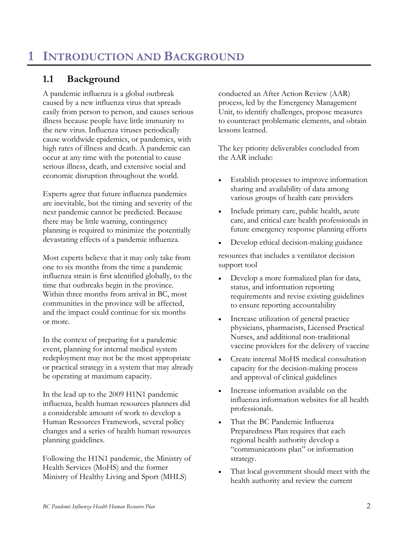# <span id="page-3-1"></span><span id="page-3-0"></span>**1.1 Background**

A pandemic influenza is a global outbreak caused by a new influenza virus that spreads easily from person to person, and causes serious illness because people have little immunity to the new virus. Influenza viruses periodically cause worldwide epidemics, or pandemics, with high rates of illness and death. A pandemic can occur at any time with the potential to cause serious illness, death, and extensive social and economic disruption throughout the world.

Experts agree that future influenza pandemics are inevitable, but the timing and severity of the next pandemic cannot be predicted. Because there may be little warning, contingency planning is required to minimize the potentially devastating effects of a pandemic influenza.

Most experts believe that it may only take from one to six months from the time a pandemic influenza strain is first identified globally, to the time that outbreaks begin in the province. Within three months from arrival in BC, most communities in the province will be affected, and the impact could continue for six months or more.

In the context of preparing for a pandemic event, planning for internal medical system redeployment may not be the most appropriate or practical strategy in a system that may already be operating at maximum capacity.

In the lead up to the 2009 H1N1 pandemic influenza, health human resources planners did a considerable amount of work to develop a Human Resources Framework, several policy changes and a series of health human resources planning guidelines.

Following the H1N1 pandemic, the Ministry of Health Services (MoHS) and the former Ministry of Healthy Living and Sport (MHLS)

conducted an After Action Review (AAR) process, led by the Emergency Management Unit, to identify challenges, propose measures to counteract problematic elements, and obtain lessons learned.

The key priority deliverables concluded from the AAR include:

- Establish processes to improve information sharing and availability of data among various groups of health care providers
- Include primary care, public health, acute care, and critical care health professionals in future emergency response planning efforts
- Develop ethical decision-making guidance

resources that includes a ventilator decision support tool

- Develop a more formalized plan for data, status, and information reporting requirements and revise existing guidelines to ensure reporting accountability
- Increase utilization of general practice physicians, pharmacists, Licensed Practical Nurses, and additional non-traditional vaccine providers for the delivery of vaccine
- Create internal MoHS medical consultation capacity for the decision-making process and approval of clinical guidelines
- Increase information available on the influenza information websites for all health professionals.
- That the BC Pandemic Influenza Preparedness Plan requires that each regional health authority develop a "communications plan" or information strategy.
- That local government should meet with the health authority and review the current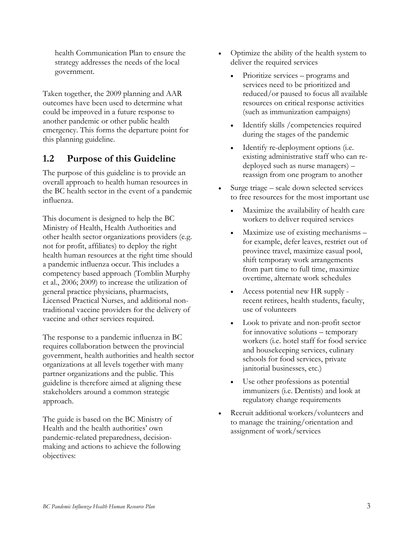health Communication Plan to ensure the strategy addresses the needs of the local government.

Taken together, the 2009 planning and AAR outcomes have been used to determine what could be improved in a future response to another pandemic or other public health emergency. This forms the departure point for this planning guideline.

# <span id="page-4-0"></span>**1.2 Purpose of this Guideline**

The purpose of this guideline is to provide an overall approach to health human resources in the BC health sector in the event of a pandemic influenza.

This document is designed to help the BC Ministry of Health, Health Authorities and other health sector organizations providers (e.g. not for profit, affiliates) to deploy the right health human resources at the right time should a pandemic influenza occur. This includes a competency based approach (Tomblin Murphy et al., 2006; 2009) to increase the utilization of general practice physicians, pharmacists, Licensed Practical Nurses, and additional nontraditional vaccine providers for the delivery of vaccine and other services required.

The response to a pandemic influenza in BC requires collaboration between the provincial government, health authorities and health sector organizations at all levels together with many partner organizations and the public. This guideline is therefore aimed at aligning these stakeholders around a common strategic approach.

The guide is based on the BC Ministry of Health and the health authorities' own pandemic-related preparedness, decisionmaking and actions to achieve the following objectives:

- Optimize the ability of the health system to deliver the required services
	- Prioritize services programs and services need to be prioritized and reduced/or paused to focus all available resources on critical response activities (such as immunization campaigns)
	- Identify skills / competencies required during the stages of the pandemic
	- Identify re-deployment options (i.e. existing administrative staff who can redeployed such as nurse managers) – reassign from one program to another
- Surge triage scale down selected services to free resources for the most important use
	- Maximize the availability of health care workers to deliver required services
	- Maximize use of existing mechanisms for example, defer leaves, restrict out of province travel, maximize casual pool, shift temporary work arrangements from part time to full time, maximize overtime, alternate work schedules
	- Access potential new HR supply recent retirees, health students, faculty, use of volunteers
	- Look to private and non-profit sector for innovative solutions – temporary workers (i.e. hotel staff for food service and housekeeping services, culinary schools for food services, private janitorial businesses, etc.)
	- Use other professions as potential immunizers (i.e. Dentists) and look at regulatory change requirements
- <span id="page-4-1"></span>• Recruit additional workers/volunteers and to manage the training/orientation and assignment of work/services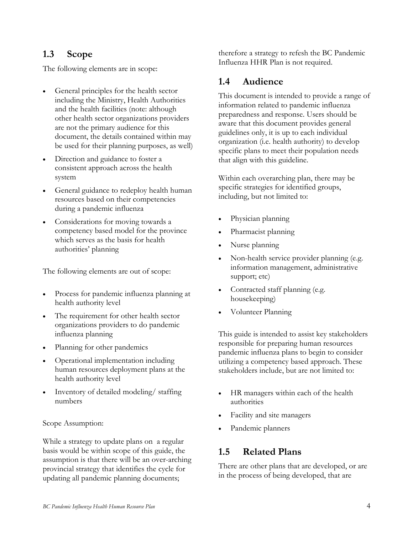# **1.3 Scope**

The following elements are in scope:

- General principles for the health sector including the Ministry, Health Authorities and the health facilities (note: although other health sector organizations providers are not the primary audience for this document, the details contained within may be used for their planning purposes, as well)
- Direction and guidance to foster a consistent approach across the health system
- General guidance to redeploy health human resources based on their competencies during a pandemic influenza
- Considerations for moving towards a competency based model for the province which serves as the basis for health authorities' planning

The following elements are out of scope:

- Process for pandemic influenza planning at health authority level
- The requirement for other health sector organizations providers to do pandemic influenza planning
- Planning for other pandemics
- Operational implementation including human resources deployment plans at the health authority level
- Inventory of detailed modeling/ staffing numbers

### Scope Assumption:

While a strategy to update plans on a regular basis would be within scope of this guide, the assumption is that there will be an over-arching provincial strategy that identifies the cycle for updating all pandemic planning documents;

therefore a strategy to refesh the BC Pandemic Influenza HHR Plan is not required.

# <span id="page-5-0"></span>**1.4 Audience**

This document is intended to provide a range of information related to pandemic influenza preparedness and response. Users should be aware that this document provides general guidelines only, it is up to each individual organization (i.e. health authority) to develop specific plans to meet their population needs that align with this guideline.

Within each overarching plan, there may be specific strategies for identified groups, including, but not limited to:

- Physician planning
- Pharmacist planning
- Nurse planning
- Non-health service provider planning (e.g. information management, administrative support; etc)
- Contracted staff planning (e.g. housekeeping)
- Volunteer Planning

This guide is intended to assist key stakeholders responsible for preparing human resources pandemic influenza plans to begin to consider utilizing a competency based approach. These stakeholders include, but are not limited to:

- HR managers within each of the health authorities
- Facility and site managers
- Pandemic planners

# <span id="page-5-1"></span>**1.5 Related Plans**

There are other plans that are developed, or are in the process of being developed, that are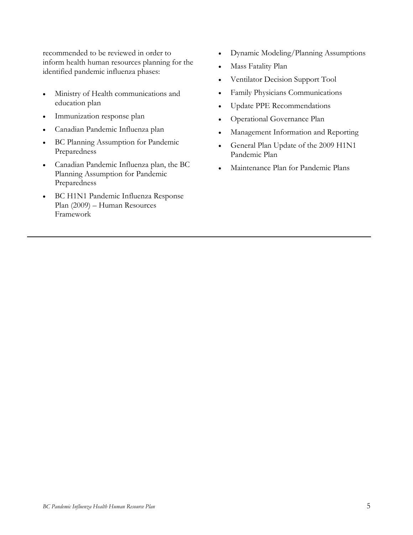recommended to be reviewed in order to inform health human resources planning for the identified pandemic influenza phases:

- Ministry of Health communications and education plan
- Immunization response plan
- Canadian Pandemic Influenza plan
- BC Planning Assumption for Pandemic Preparedness
- Canadian Pandemic Influenza plan, the BC Planning Assumption for Pandemic Preparedness
- <span id="page-6-0"></span>• BC H1N1 Pandemic Influenza Response Plan (2009) – Human Resources Framework
- Dynamic Modeling/Planning Assumptions
- Mass Fatality Plan
- Ventilator Decision Support Tool
- Family Physicians Communications
- Update PPE Recommendations
- Operational Governance Plan
- Management Information and Reporting
- General Plan Update of the 2009 H1N1 Pandemic Plan
- Maintenance Plan for Pandemic Plans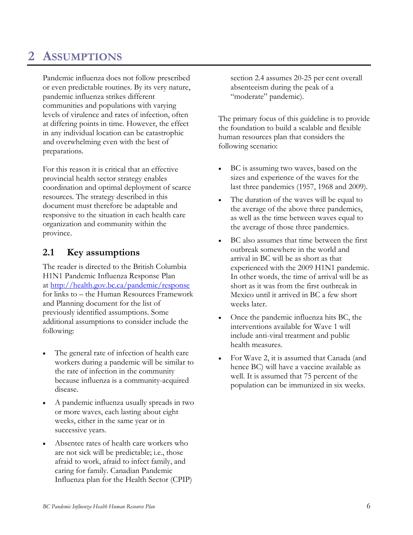# **2 ASSUMPTIONS**

Pandemic influenza does not follow prescribed or even predictable routines. By its very nature, pandemic influenza strikes different communities and populations with varying levels of virulence and rates of infection, often at differing points in time. However, the effect in any individual location can be catastrophic and overwhelming even with the best of preparations.

For this reason it is critical that an effective provincial health sector strategy enables coordination and optimal deployment of scarce resources. The strategy described in this document must therefore be adaptable and responsive to the situation in each health care organization and community within the province.

# <span id="page-7-0"></span>**2.1 Key assumptions**

The reader is directed to the British Columbia H1N1 Pandemic Influenza Response Plan at<http://health.gov.bc.ca/pandemic/response> for links to – the Human Resources Framework and Planning document for the list of previously identified assumptions. Some additional assumptions to consider include the following:

- The general rate of infection of health care workers during a pandemic will be similar to the rate of infection in the community because influenza is a community-acquired disease.
- A pandemic influenza usually spreads in two or more waves, each lasting about eight weeks, either in the same year or in successive years.
- Absentee rates of health care workers who are not sick will be predictable; i.e., those afraid to work, afraid to infect family, and caring for family. Canadian Pandemic Influenza plan for the Health Sector (CPIP)

section 2.4 assumes 20-25 per cent overall absenteeism during the peak of a "moderate" pandemic).

The primary focus of this guideline is to provide the foundation to build a scalable and flexible human resources plan that considers the following scenario:

- BC is assuming two waves, based on the sizes and experience of the waves for the last three pandemics (1957, 1968 and 2009).
- The duration of the waves will be equal to the average of the above three pandemics, as well as the time between waves equal to the average of those three pandemics.
- BC also assumes that time between the first outbreak somewhere in the world and arrival in BC will be as short as that experienced with the 2009 H1N1 pandemic. In other words, the time of arrival will be as short as it was from the first outbreak in Mexico until it arrived in BC a few short weeks later.
- Once the pandemic influenza hits BC, the interventions available for Wave 1 will include anti-viral treatment and public health measures.
- For Wave 2, it is assumed that Canada (and hence BC) will have a vaccine available as well. It is assumed that 75 percent of the population can be immunized in six weeks.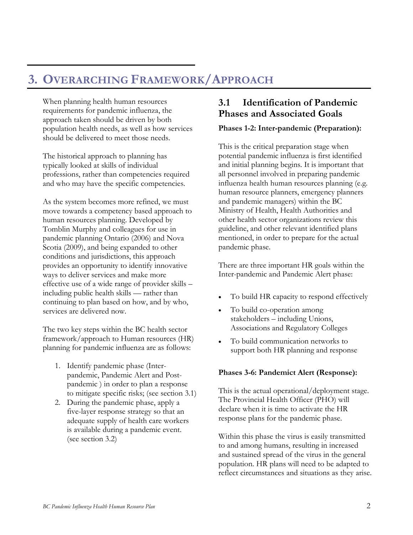# <span id="page-8-0"></span>**3. OVERARCHING FRAMEWORK/APPROACH**

When planning health human resources requirements for pandemic influenza, the approach taken should be driven by both population health needs, as well as how services should be delivered to meet those needs.

The historical approach to planning has typically looked at skills of individual professions, rather than competencies required and who may have the specific competencies.

As the system becomes more refined, we must move towards a competency based approach to human resources planning. Developed by Tomblin Murphy and colleagues for use in pandemic planning Ontario (2006) and Nova Scotia (2009), and being expanded to other conditions and jurisdictions, this approach provides an opportunity to identify innovative ways to deliver services and make more effective use of a wide range of provider skills – including public health skills — rather than continuing to plan based on how, and by who, services are delivered now.

The two key steps within the BC health sector framework/approach to Human resources (HR) planning for pandemic influenza are as follows:

- 1. Identify pandemic phase (Interpandemic, Pandemic Alert and Postpandemic ) in order to plan a response to mitigate specific risks; (see section 3.1)
- 2. During the pandemic phase, apply a five-layer response strategy so that an adequate supply of health care workers is available during a pandemic event. (see section 3.2)

# <span id="page-8-1"></span>**3.1 Identification of Pandemic Phases and Associated Goals**

### **Phases 1-2: Inter-pandemic (Preparation):**

This is the critical preparation stage when potential pandemic influenza is first identified and initial planning begins. It is important that all personnel involved in preparing pandemic influenza health human resources planning (e.g. human resource planners, emergency planners and pandemic managers) within the BC Ministry of Health, Health Authorities and other health sector organizations review this guideline, and other relevant identified plans mentioned, in order to prepare for the actual pandemic phase.

There are three important HR goals within the Inter-pandemic and Pandemic Alert phase:

- To build HR capacity to respond effectively
- To build co-operation among stakeholders – including Unions, Associations and Regulatory Colleges
- To build communication networks to support both HR planning and response

### **Phases 3-6: Pandemict Alert (Response):**

This is the actual operational/deployment stage. The Provincial Health Officer (PHO) will declare when it is time to activate the HR response plans for the pandemic phase.

Within this phase the virus is easily transmitted to and among humans, resulting in increased and sustained spread of the virus in the general population. HR plans will need to be adapted to reflect circumstances and situations as they arise.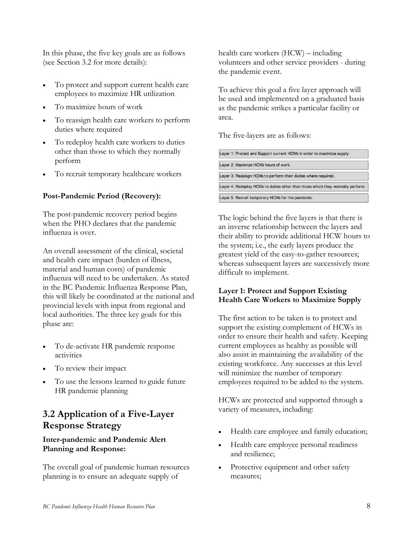In this phase, the five key goals are as follows (see Section 3.2 for more details):

- To protect and support current health care employees to maximize HR utilization
- To maximize hours of work
- To reassign health care workers to perform duties where required
- To redeploy health care workers to duties other than those to which they normally perform
- To recruit temporary healthcare workers

### **Post-Pandemic Period (Recovery):**

The post-pandemic recovery period begins when the PHO declares that the pandemic influenza is over.

An overall assessment of the clinical, societal and health care impact (burden of illness, material and human costs) of pandemic influenza will need to be undertaken. As stated in the BC Pandemic Influenza Response Plan, this will likely be coordinated at the national and provincial levels with input from regional and local authorities. The three key goals for this phase are:

- To de-activate HR pandemic response activities
- To review their impact
- To use the lessons learned to guide future HR pandemic planning

# <span id="page-9-0"></span>**3.2 Application of a Five-Layer Response Strategy**

### **Inter-pandemic and Pandemic Alert Planning and Response:**

The overall goal of pandemic human resources planning is to ensure an adequate supply of

health care workers (HCW) – including volunteers and other service providers - during the pandemic event.

To achieve this goal a five layer approach will be used and implemented on a graduated basis as the pandemic strikes a particular facility or area.

The five-layers are as follows:

| Layer 1: Protect and Support current HCWs in order to maximize supply.         |
|--------------------------------------------------------------------------------|
| Layer 2: Maximize HCWs hours of work.                                          |
| Layer 3: Reassign HCWs to perform their duties where required.                 |
| Layer 4: Redeploy HCWs to duties other than those which they normally perform. |
| Layer 5: Recruit temporary HCWs for the pandemic.                              |

The logic behind the five layers is that there is an inverse relationship between the layers and their ability to provide additional HCW hours to the system; i.e., the early layers produce the greatest yield of the easy-to-gather resources; whereas subsequent layers are successively more difficult to implement.

### **Layer 1: Protect and Support Existing Health Care Workers to Maximize Supply**

The first action to be taken is to protect and support the existing complement of HCWs in order to ensure their health and safety. Keeping current employees as healthy as possible will also assist in maintaining the availability of the existing workforce. Any successes at this level will minimize the number of temporary employees required to be added to the system.

HCWs are protected and supported through a variety of measures, including:

- Health care employee and family education;
- Health care employee personal readiness and resilience;
- Protective equipment and other safety measures;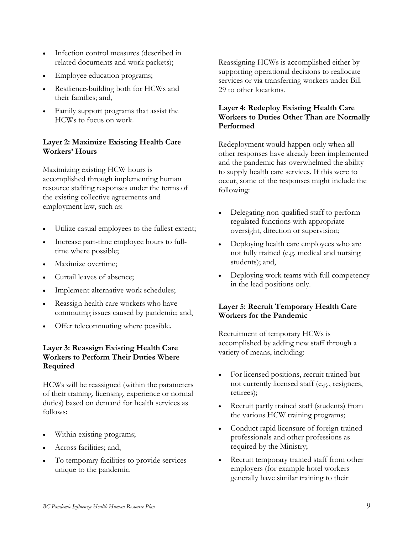- Infection control measures (described in related documents and work packets);
- Employee education programs;
- Resilience-building both for HCWs and their families; and,
- Family support programs that assist the HCWs to focus on work.

## **Layer 2: Maximize Existing Health Care Workers' Hours**

Maximizing existing HCW hours is accomplished through implementing human resource staffing responses under the terms of the existing collective agreements and employment law, such as:

- Utilize casual employees to the fullest extent;
- Increase part-time employee hours to fulltime where possible;
- Maximize overtime;
- Curtail leaves of absence;
- Implement alternative work schedules;
- Reassign health care workers who have commuting issues caused by pandemic; and,
- Offer telecommuting where possible.

## **Layer 3: Reassign Existing Health Care Workers to Perform Their Duties Where Required**

HCWs will be reassigned (within the parameters of their training, licensing, experience or normal duties) based on demand for health services as follows:

- Within existing programs;
- Across facilities; and,
- To temporary facilities to provide services unique to the pandemic.

Reassigning HCWs is accomplished either by supporting operational decisions to reallocate services or via transferring workers under Bill 29 to other locations.

## **Layer 4: Redeploy Existing Health Care Workers to Duties Other Than are Normally Performed**

Redeployment would happen only when all other responses have already been implemented and the pandemic has overwhelmed the ability to supply health care services. If this were to occur, some of the responses might include the following:

- Delegating non-qualified staff to perform regulated functions with appropriate oversight, direction or supervision;
- Deploying health care employees who are not fully trained (e.g. medical and nursing students); and,
- Deploying work teams with full competency in the lead positions only.

## **Layer 5: Recruit Temporary Health Care Workers for the Pandemic**

Recruitment of temporary HCWs is accomplished by adding new staff through a variety of means, including:

- For licensed positions, recruit trained but not currently licensed staff (e.g., resignees, retirees);
- Recruit partly trained staff (students) from the various HCW training programs;
- Conduct rapid licensure of foreign trained professionals and other professions as required by the Ministry;
- Recruit temporary trained staff from other employers (for example hotel workers generally have similar training to their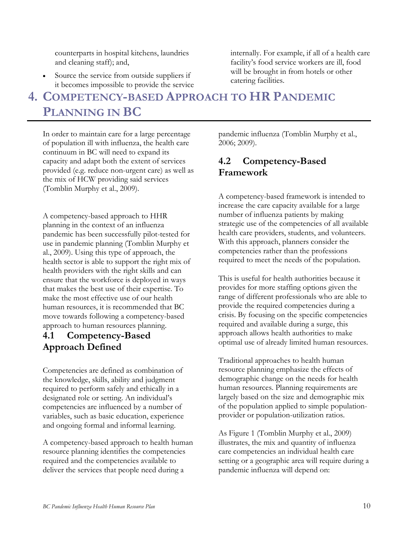counterparts in hospital kitchens, laundries and cleaning staff); and,

Source the service from outside suppliers if it becomes impossible to provide the service

# <span id="page-11-0"></span>**4. COMPETENCY-BASED APPROACH TO HR PANDEMIC PLANNING IN BC**

In order to maintain care for a large percentage of population ill with influenza, the health care continuum in BC will need to expand its capacity and adapt both the extent of services provided (e.g. reduce non-urgent care) as well as the mix of HCW providing said services (Tomblin Murphy et al., 2009).

A competency-based approach to HHR planning in the context of an influenza pandemic has been successfully pilot-tested for use in pandemic planning (Tomblin Murphy et al., 2009). Using this type of approach, the health sector is able to support the right mix of health providers with the right skills and can ensure that the workforce is deployed in ways that makes the best use of their expertise. To make the most effective use of our health human resources, it is recommended that BC move towards following a competency-based approach to human resources planning.

# <span id="page-11-1"></span>**4.1 Competency-Based Approach Defined**

Competencies are defined as combination of the knowledge, skills, ability and judgment required to perform safely and ethically in a designated role or setting. An individual's competencies are influenced by a number of variables, such as basic education, experience and ongoing formal and informal learning.

A competency-based approach to health human resource planning identifies the competencies required and the competencies available to deliver the services that people need during a

pandemic influenza (Tomblin Murphy et al., 2006; 2009).

internally. For example, if all of a health care facility's food service workers are ill, food will be brought in from hotels or other

# <span id="page-11-2"></span>**4.2 Competency-Based Framework**

catering facilities.

A competency-based framework is intended to increase the care capacity available for a large number of influenza patients by making strategic use of the competencies of all available health care providers, students, and volunteers. With this approach, planners consider the competencies rather than the professions required to meet the needs of the population.

This is useful for health authorities because it provides for more staffing options given the range of different professionals who are able to provide the required competencies during a crisis. By focusing on the specific competencies required and available during a surge, this approach allows health authorities to make optimal use of already limited human resources.

Traditional approaches to health human resource planning emphasize the effects of demographic change on the needs for health human resources. Planning requirements are largely based on the size and demographic mix of the population applied to simple populationprovider or population-utilization ratios.

As Figure 1 (Tomblin Murphy et al., 2009) illustrates, the mix and quantity of influenza care competencies an individual health care setting or a geographic area will require during a pandemic influenza will depend on: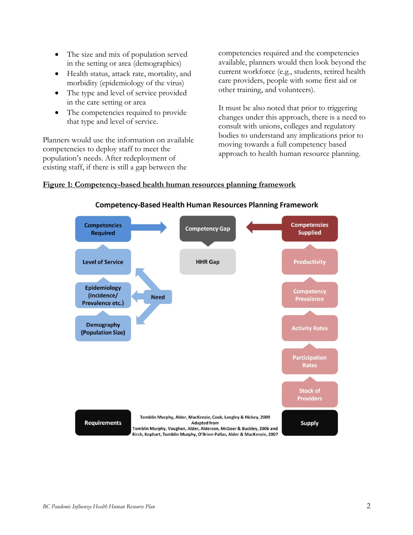- The size and mix of population served in the setting or area (demographics)
- Health status, attack rate, mortality, and morbidity (epidemiology of the virus)
- The type and level of service provided in the care setting or area
- The competencies required to provide that type and level of service.

Planners would use the information on available competencies to deploy staff to meet the population's needs. After redeployment of existing staff, if there is still a gap between the

competencies required and the competencies available, planners would then look beyond the current workforce (e.g., students, retired health care providers, people with some first aid or other training, and volunteers).

It must be also noted that prior to triggering changes under this approach, there is a need to consult with unions, colleges and regulatory bodies to understand any implications prior to moving towards a full competency based approach to health human resource planning.

#### **Figure 1: Competency-based health human resources planning framework**



#### **Competency-Based Health Human Resources Planning Framework**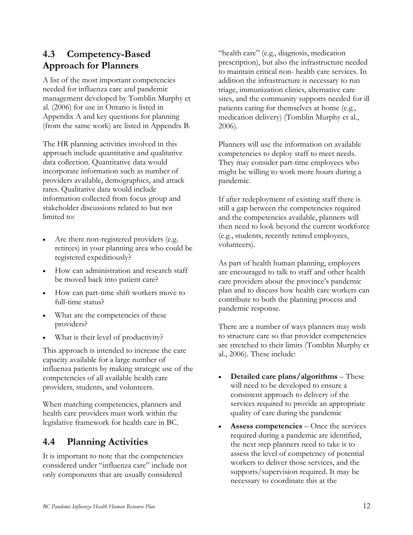# <span id="page-13-0"></span>**4.3 Competency-Based Approach for Planners**

A list of the most important competencies needed for influenza care and pandemic management developed by Tomblin Murphy et al. (2006) for use in Ontario is listed in Appendix A and key questions for planning (from the same work) are listed in Appendix B.

The HR planning activities involved in this approach include quantitative and qualitative data collection. Quantitative data would incorporate information such as number of providers available, demographics, and attack rates. Qualitative data would include information collected from focus group and stakeholder discussions related to but not limited to:

- Are there non-registered providers (e.g. retirees) in your planning area who could be registered expeditiously?
- How can administration and research staff be moved back into patient care?
- How can part-time shift workers move to full-time status?
- What are the competencies of these providers?
- What is their level of productivity?

This approach is intended to increase the care capacity available for a large number of influenza patients by making strategic use of the competencies of all available health care providers, students, and volunteers.

When matching competencies, planners and health care providers must work within the legislative framework for health care in BC.

# <span id="page-13-1"></span>**4.4 Planning Activities**

It is important to note that the competencies considered under "influenza care" include not only components that are usually considered

"health care" (e.g., diagnosis, medication prescription), but also the infrastructure needed to maintain critical non- health care services. In addition the infrastructure is necessary to run triage, immunization clinics, alternative care sites, and the community supports needed for ill patients caring for themselves at home (e.g., medication delivery) (Tomblin Murphy et al., 2006).

Planners will use the information on available competencies to deploy staff to meet needs. They may consider part-time employees who might be willing to work more hours during a pandemic.

If after redeployment of existing staff there is still a gap between the competencies required and the competencies available, planners will then need to look beyond the current workforce (e.g., students, recently retired employees, volunteers).

As part of health human planning, employers are encouraged to talk to staff and other health care providers about the province's pandemic plan and to discuss how health care workers can contribute to both the planning process and pandemic response.

There are a number of ways planners may wish to structure care so that provider competencies are stretched to their limits (Tomblin Murphy et al., 2006). These include:

- **Detailed care plans/algorithms** These will need to be developed to ensure a consistent approach to delivery of the services required to provide an appropriate quality of care during the pandemic
- **Assess competencies** Once the services required during a pandemic are identified, the next step planners need to take is to assess the level of competency of potential workers to deliver those services, and the supports/supervision required. It may be necessary to coordinate this at the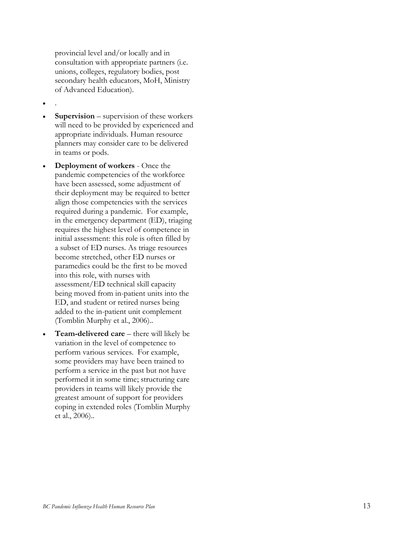provincial level and/or locally and in consultation with appropriate partners (i.e. unions, colleges, regulatory bodies, post secondary health educators, MoH, Ministry of Advanced Education).

- .
- **Supervision** supervision of these workers will need to be provided by experienced and appropriate individuals. Human resource planners may consider care to be delivered in teams or pods.
- **Deployment of workers** Once the pandemic competencies of the workforce have been assessed, some adjustment of their deployment may be required to better align those competencies with the services required during a pandemic. For example, in the emergency department (ED), triaging requires the highest level of competence in initial assessment: this role is often filled by a subset of ED nurses. As triage resources become stretched, other ED nurses or paramedics could be the first to be moved into this role, with nurses with assessment/ED technical skill capacity being moved from in -patient units into the ED, and student or retired nurses being added to the in -patient unit complement (Tomblin Murphy et al., 2006). .
- **Team -delivered care** there will likely be variation in the level of competence to perform various services. For example, some providers may have been trained to perform a service in the past but not have performed it in some time; structuring care providers in teams will likely provide the greatest amount of support for providers coping in extended roles (Tomblin Murphy et al., 2006). .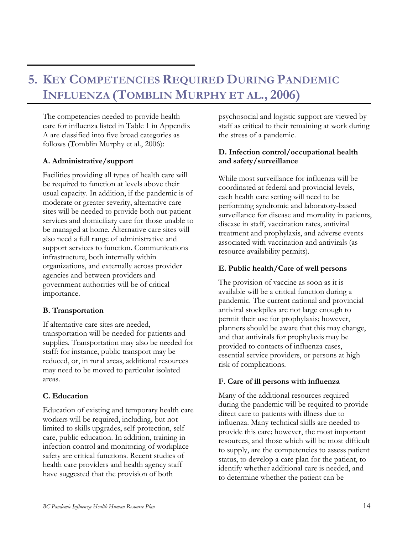# <span id="page-15-0"></span>**5. KEY COMPETENCIES REQUIRED DURING PANDEMIC INFLUENZA (TOMBLIN MURPHY ET AL., 2006)**

The competencies needed to provide health care for influenza listed in Table 1 in Appendix A are classified into five broad categories as follows (Tomblin Murphy et al., 2006):

### **A. Administrative/support**

Facilities providing all types of health care will be required to function at levels above their usual capacity. In addition, if the pandemic is of moderate or greater severity, alternative care sites will be needed to provide both out-patient services and domiciliary care for those unable to be managed at home. Alternative care sites will also need a full range of administrative and support services to function. Communications infrastructure, both internally within organizations, and externally across provider agencies and between providers and government authorities will be of critical importance.

## **B. Transportation**

If alternative care sites are needed, transportation will be needed for patients and supplies. Transportation may also be needed for staff: for instance, public transport may be reduced, or, in rural areas, additional resources may need to be moved to particular isolated areas.

## **C. Education**

Education of existing and temporary health care workers will be required, including, but not limited to skills upgrades, self-protection, self care, public education. In addition, training in infection control and monitoring of workplace safety are critical functions. Recent studies of health care providers and health agency staff have suggested that the provision of both

psychosocial and logistic support are viewed by staff as critical to their remaining at work during the stress of a pandemic.

### **D. Infection control/occupational health and safety/surveillance**

While most surveillance for influenza will be coordinated at federal and provincial levels, each health care setting will need to be performing syndromic and laboratory-based surveillance for disease and mortality in patients, disease in staff, vaccination rates, antiviral treatment and prophylaxis, and adverse events associated with vaccination and antivirals (as resource availability permits).

### **E. Public health/Care of well persons**

The provision of vaccine as soon as it is available will be a critical function during a pandemic. The current national and provincial antiviral stockpiles are not large enough to permit their use for prophylaxis; however, planners should be aware that this may change, and that antivirals for prophylaxis may be provided to contacts of influenza cases, essential service providers, or persons at high risk of complications.

### **F. Care of ill persons with influenza**

Many of the additional resources required during the pandemic will be required to provide direct care to patients with illness due to influenza. Many technical skills are needed to provide this care; however, the most important resources, and those which will be most difficult to supply, are the competencies to assess patient status, to develop a care plan for the patient, to identify whether additional care is needed, and to determine whether the patient can be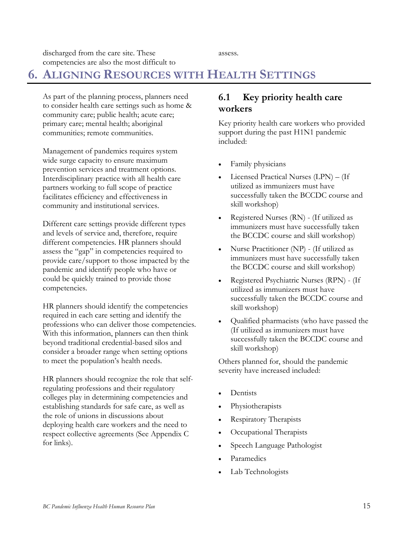discharged from the care site. These competencies are also the most difficult to

assess.

# <span id="page-16-0"></span>**6. ALIGNING RESOURCES WITH HEALTH SETTINGS**

As part of the planning process, planners need to consider health care settings such as home & community care; public health; acute care; primary care; mental health; aboriginal communities; remote communities.

Management of pandemics requires system wide surge capacity to ensure maximum prevention services and treatment options. Interdisciplinary practice with all health care partners working to full scope of practice facilitates efficiency and effectiveness in community and institutional services.

Different care settings provide different types and levels of service and, therefore, require different competencies. HR planners should assess the "gap" in competencies required to provide care/support to those impacted by the pandemic and identify people who have or could be quickly trained to provide those competencies.

HR planners should identify the competencies required in each care setting and identify the professions who can deliver those competencies. With this information, planners can then think beyond traditional credential-based silos and consider a broader range when setting options to meet the population's health needs.

HR planners should recognize the role that selfregulating professions and their regulatory colleges play in determining competencies and establishing standards for safe care, as well as the role of unions in discussions about deploying health care workers and the need to respect collective agreements (See Appendix C for links).

# <span id="page-16-1"></span>**6.1 Key priority health care workers**

Key priority health care workers who provided support during the past H1N1 pandemic included:

- Family physicians
- Licensed Practical Nurses (LPN) (If utilized as immunizers must have successfully taken the BCCDC course and skill workshop)
- Registered Nurses (RN) (If utilized as immunizers must have successfully taken the BCCDC course and skill workshop)
- Nurse Practitioner (NP) (If utilized as immunizers must have successfully taken the BCCDC course and skill workshop)
- Registered Psychiatric Nurses (RPN) (If utilized as immunizers must have successfully taken the BCCDC course and skill workshop)
- Qualified pharmacists (who have passed the (If utilized as immunizers must have successfully taken the BCCDC course and skill workshop)

Others planned for, should the pandemic severity have increased included:

- **Dentists**
- Physiotherapists
- Respiratory Therapists
- Occupational Therapists
- Speech Language Pathologist
- Paramedics
- Lab Technologists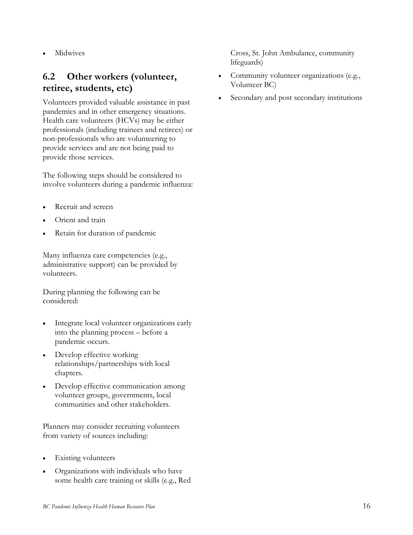• Midwives

# <span id="page-17-0"></span>**6.2 Other workers (volunteer, retiree, students, etc)**

Volunteers provided valuable assistance in past pandemics and in other emergency situations. Health care volunteers (HCVs) may be either professionals (including trainees and retirees) or non-professionals who are volunteering to provide services and are not being paid to provide those services.

The following steps should be considered to involve volunteers during a pandemic influenza:

- Recruit and screen
- Orient and train
- Retain for duration of pandemic

Many influenza care competencies (e.g., administrative support) can be provided by volunteers.

During planning the following can be considered:

- Integrate local volunteer organizations early into the planning process – before a pandemic occurs.
- Develop effective working relationships/partnerships with local chapters.
- Develop effective communication among volunteer groups, governments, local communities and other stakeholders.

Planners may consider recruiting volunteers from variety of sources including:

- **Existing volunteers**
- Organizations with individuals who have some health care training or skills (e.g., Red

Cross, St. John Ambulance, community lifeguards)

- Community volunteer organizations (e.g., Volunteer BC)
- Secondary and post secondary institutions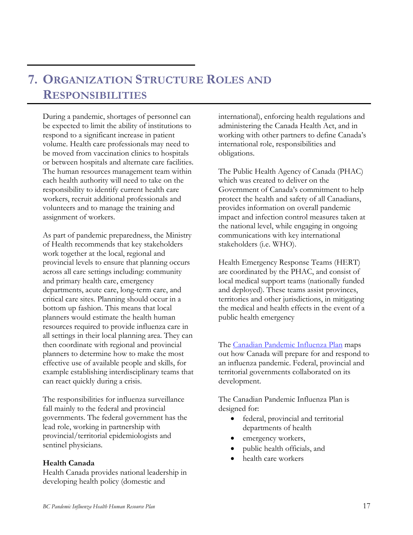# <span id="page-18-0"></span>**7. ORGANIZATION STRUCTURE ROLES AND RESPONSIBILITIES**

During a pandemic, shortages of personnel can be expected to limit the ability of institutions to respond to a significant increase in patient volume. Health care professionals may need to be moved from vaccination clinics to hospitals or between hospitals and alternate care facilities. The human resources management team within each health authority will need to take on the responsibility to identify current health care workers, recruit additional professionals and volunteers and to manage the training and assignment of workers.

As part of pandemic preparedness, the Ministry of Health recommends that key stakeholders work together at the local, regional and provincial levels to ensure that planning occurs across all care settings including: community and primary health care, emergency departments, acute care, long-term care, and critical care sites. Planning should occur in a bottom up fashion. This means that local planners would estimate the health human resources required to provide influenza care in all settings in their local planning area. They can then coordinate with regional and provincial planners to determine how to make the most effective use of available people and skills, for example establishing interdisciplinary teams that can react quickly during a crisis.

The responsibilities for influenza surveillance fall mainly to the federal and provincial governments. The federal government has the lead role, working in partnership with provincial/territorial epidemiologists and sentinel physicians.

#### **Health Canada**

Health Canada provides national leadership in developing health policy (domestic and

international), enforcing health regulations and administering the Canada Health Act, and in working with other partners to define Canada's international role, responsibilities and obligations.

The Public Health Agency of Canada (PHAC) which was created to deliver on the Government of Canada's commitment to help protect the health and safety of all Canadians, provides information on overall pandemic impact and infection control measures taken at the national level, while engaging in ongoing communications with key international stakeholders (i.e. WHO).

Health Emergency Response Teams (HERT) are coordinated by the PHAC, and consist of local medical support teams (nationally funded and deployed). These teams assist provinces, territories and other jurisdictions, in mitigating the medical and health effects in the event of a public health emergency

The [Canadian Pandemic Influenza Plan](http://www.phac-aspc.gc.ca/cpip-pclcpi/index-eng.php) maps out how Canada will prepare for and respond to an influenza pandemic. Federal, provincial and territorial governments collaborated on its development.

The Canadian Pandemic Influenza Plan is designed for:

- federal, provincial and territorial departments of health
- emergency workers,
- public health officials, and
- health care workers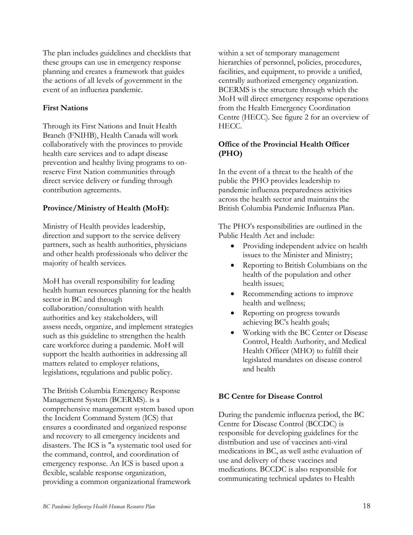The plan includes guidelines and checklists that these groups can use in emergency response planning and creates a framework that guides the actions of all levels of government in the event of an influenza pandemic.

### **First Nations**

Through its First Nations and Inuit Health Branch (FNIHB), Health Canada will work collaboratively with the provinces to provide health care services and to adapt disease prevention and healthy living programs to onreserve First Nation communities through direct service delivery or funding through contribution agreements.

## **Province/Ministry of Health (MoH):**

Ministry of Health provides leadership, direction and support to the service delivery partners, such as health authorities, physicians and other health professionals who deliver the majority of health services.

MoH has overall responsibility for leading health human resources planning for the health sector in BC and through collaboration/consultation with health authorities and key stakeholders, will assess needs, organize, and implement strategies such as this guideline to strengthen the health care workforce during a pandemic. MoH will support the health authorities in addressing all matters related to employer relations, legislations, regulations and public policy.

The British Columbia Emergency Response Management System (BCERMS). is a comprehensive management system based upon the Incident Command System (ICS) that ensures a coordinated and organized response and recovery to all emergency incidents and disasters. The ICS is "a systematic tool used for the command, control, and coordination of emergency response. An ICS is based upon a flexible, scalable response organization, providing a common organizational framework

within a set of temporary management hierarchies of personnel, policies, procedures, facilities, and equipment, to provide a unified, centrally authorized emergency organization. BCERMS is the structure through which the MoH will direct emergency response operations from the Health Emergency Coordination Centre (HECC). See figure 2 for an overview of HECC.

## **Office of the Provincial Health Officer (PHO)**

In the event of a threat to the health of the public the PHO provides leadership to pandemic influenza preparedness activities across the health sector and maintains the British Columbia Pandemic Influenza Plan.

The PHO's responsibilities are outlined in the Public Health Act and include:

- Providing independent advice on health issues to the Minister and Ministry;
- Reporting to British Columbians on the health of the population and other health issues;
- Recommending actions to improve health and wellness;
- Reporting on progress towards achieving BC's health goals;
- Working with the BC Center or Disease Control, Health Authority, and Medical Health Officer (MHO) to fulfill their legislated mandates on disease control and health

## **BC Centre for Disease Control**

During the pandemic influenza period, the BC Centre for Disease Control (BCCDC) is responsible for developing guidelines for the distribution and use of vaccines anti-viral medications in BC, as well asthe evaluation of use and delivery of these vaccines and medications. BCCDC is also responsible for communicating technical updates to Health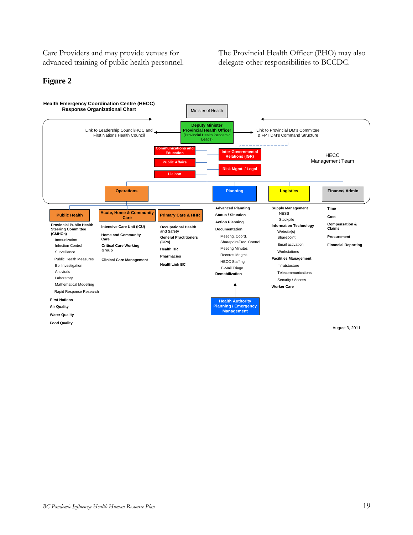Care Providers and may provide venues for advanced training of public health personnel. The Provincial Health Officer (PHO) may also delegate other responsibilities to BCCDC.

#### **Figure 2**

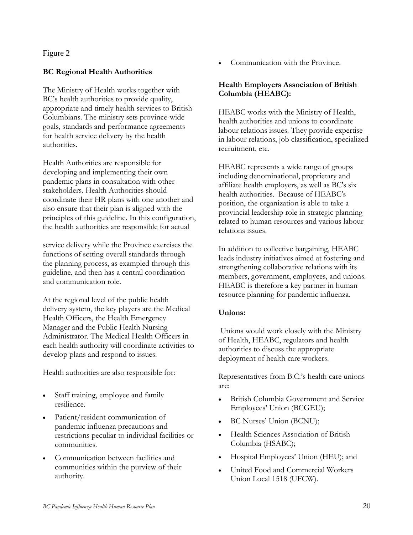## Figure 2

## **BC Regional Health Authorities**

The Ministry of Health works together with BC's health authorities to provide quality, appropriate and timely health services to British Columbians. The ministry sets province-wide goals, standards and performance agreements for health service delivery by the health authorities.

Health Authorities are responsible for developing and implementing their own pandemic plans in consultation with other stakeholders. Health Authorities should coordinate their HR plans with one another and also ensure that their plan is aligned with the principles of this guideline. In this configuration, the health authorities are responsible for actual

service delivery while the Province exercises the functions of setting overall standards through the planning process, as exampled through this guideline, and then has a central coordination and communication role.

At the regional level of the public health delivery system, the key players are the Medical Health Officers, the Health Emergency Manager and the Public Health Nursing Administrator. The Medical Health Officers in each health authority will coordinate activities to develop plans and respond to issues.

Health authorities are also responsible for:

- Staff training, employee and family resilience.
- Patient/resident communication of pandemic influenza precautions and restrictions peculiar to individual facilities or communities.
- Communication between facilities and communities within the purview of their authority.

• Communication with the Province.

### **Health Employers Association of British Columbia (HEABC):**

HEABC works with the Ministry of Health, health authorities and unions to coordinate labour relations issues. They provide expertise in labour relations, job classification, specialized recruitment, etc.

HEABC represents a wide range of groups including denominational, proprietary and affiliate health employers, as well as BC's six health authorities. Because of HEABC's position, the organization is able to take a provincial leadership role in strategic planning related to human resources and various labour relations issues.

In addition to collective bargaining, HEABC leads industry initiatives aimed at fostering and strengthening collaborative relations with its members, government, employees, and unions. HEABC is therefore a key partner in human resource planning for pandemic influenza.

### **Unions:**

Unions would work closely with the Ministry of Health, HEABC, regulators and health authorities to discuss the appropriate deployment of health care workers.

Representatives from B.C.'s health care unions are:

- British Columbia Government and Service Employees' Union (BCGEU);
- BC Nurses' Union (BCNU);
- Health Sciences Association of British Columbia (HSABC);
- Hospital Employees' Union (HEU); and
- United Food and Commercial Workers Union Local 1518 (UFCW).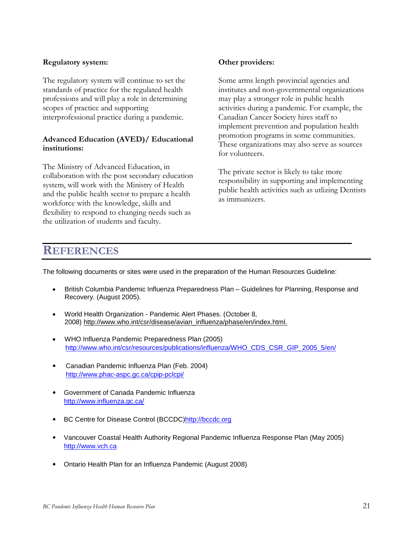#### **Regulatory system:**

The regulatory system will continue to set the standards of practice for the regulated health professions and will play a role in determining scopes of practice and supporting interprofessional practice during a pandemic.

### **Advanced Education (AVED)/ Educational institutions:**

The Ministry of Advanced Education, in collaboration with the post secondary education system, will work with the Ministry of Health and the public health sector to prepare a health workforce with the knowledge, skills and flexibility to respond to changing needs such as the utilization of students and faculty.

### **Other providers:**

Some arms length provincial agencies and institutes and non-governmental organizations may play a stronger role in public health activities during a pandemic. For example, the Canadian Cancer Society hires staff to implement prevention and population health promotion programs in some communities. These organizations may also serve as sources for volunteers.

The private sector is likely to take more responsibility in supporting and implementing public health activities such as utlizing Dentists as immunizers.

# <span id="page-22-0"></span>**REFERENCES**

The following documents or sites were used in the preparation of the Human Resources Guideline:

- British Columbia Pandemic Influenza Preparedness Plan Guidelines for Planning, Response and Recovery. (August 2005).
- World Health Organization Pandemic Alert Phases. (October 8, 2008) [http://www.who.int/csr/disease/avian\\_influenza/phase/en/index.html.](http://www.who.int/csr/disease/avian_influenza/phase/en/index.html)
- WHO Influenza Pandemic Preparedness Plan (2005) [http://www.who.int/csr/resources/publications/influenza/WHO\\_CDS\\_CSR\\_GIP\\_2005\\_5/en/](http://www.who.int/csr/resources/publications/influenza/WHO_CDS_CSR_GIP_2005_5/en/)
- Canadian Pandemic Influenza Plan (Feb. 2004) <http://www.phac-aspc.gc.ca/cpip-pclcpi/>
- Government of Canada Pandemic Influenza <http://www.influenza.gc.ca/>
- BC Centre for Disease Control (BCCDC[\)http://bccdc.org](http://bccdc.org/)
- Vancouver Coastal Health Authority Regional Pandemic Influenza Response Plan (May 2005) [http://www.vch.ca](http://www.vch.ca/)
- Ontario Health Plan for an Influenza Pandemic (August 2008)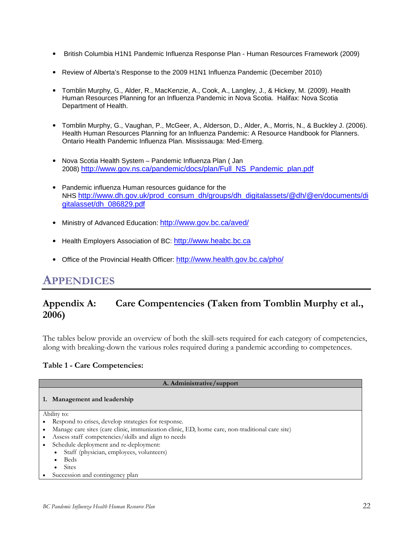- British Columbia H1N1 Pandemic Influenza Response Plan Human Resources Framework (2009)
- Review of Alberta's Response to the 2009 H1N1 Influenza Pandemic (December 2010)
- Tomblin Murphy, G., Alder, R., MacKenzie, A., Cook, A., Langley, J., & Hickey, M. (2009). Health Human Resources Planning for an Influenza Pandemic in Nova Scotia. Halifax: Nova Scotia Department of Health.
- Tomblin Murphy, G., Vaughan, P., McGeer, A., Alderson, D., Alder, A., Morris, N., & Buckley J. (2006). Health Human Resources Planning for an Influenza Pandemic: A Resource Handbook for Planners. Ontario Health Pandemic Influenza Plan. Mississauga: Med-Emerg.
- Nova Scotia Health System Pandemic Influenza Plan ( Jan 2008) [http://www.gov.ns.ca/pandemic/docs/plan/Full\\_NS\\_Pandemic\\_plan.pdf](http://www.gov.ns.ca/pandemic/docs/plan/Full_NS_Pandemic_plan.pdf)
- Pandemic influenza Human resources guidance for the NHS [http://www.dh.gov.uk/prod\\_consum\\_dh/groups/dh\\_digitalassets/@dh/@en/documents/di](http://www.dh.gov.uk/prod_consum_dh/groups/dh_digitalassets/@dh/@en/documents/digitalasset/dh_086829.pdf) [gitalasset/dh\\_086829.pdf](http://www.dh.gov.uk/prod_consum_dh/groups/dh_digitalassets/@dh/@en/documents/digitalasset/dh_086829.pdf)
- Ministry of Advanced Education:<http://www.gov.bc.ca/aved/>
- Health Employers Association of BC: [http://www.heabc.bc.ca](http://www.heabc.bc.ca/)
- Office of the Provincial Health Officer:<http://www.health.gov.bc.ca/pho/>

# **APPENDICES**

# <span id="page-23-0"></span>**Appendix A: Care Compentencies (Taken from Tomblin Murphy et al., 2006)**

The tables below provide an overview of both the skill-sets required for each category of competencies, along with breaking-down the various roles required during a pandemic according to competences.

### **Table 1 - Care Competencies:**

| A. Administrative/support                                                                      |  |  |  |
|------------------------------------------------------------------------------------------------|--|--|--|
| Management and leadership<br>1.                                                                |  |  |  |
| Ability to:                                                                                    |  |  |  |
| • Respond to crises, develop strategies for response.                                          |  |  |  |
| Manage care sites (care clinic, immunization clinic, ED, home care, non-traditional care site) |  |  |  |
| Assess staff competencies/skills and align to needs                                            |  |  |  |
| Schedule deployment and re-deployment:                                                         |  |  |  |
| Staff (physician, employees, volunteers)<br>$\bullet$                                          |  |  |  |
| <b>Beds</b>                                                                                    |  |  |  |
| <b>Sites</b>                                                                                   |  |  |  |

• Succession and contingency plan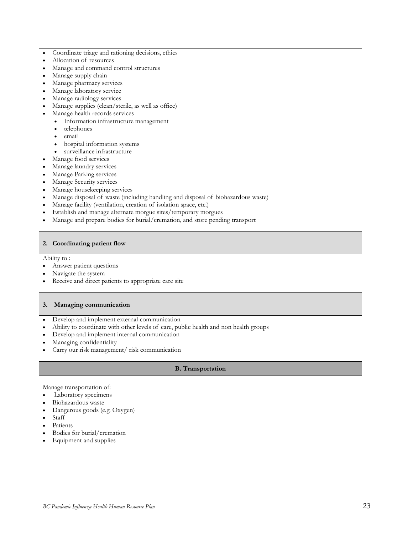- Coordinate triage and rationing decisions, ethics
- Allocation of resources
- Manage and command control structures
- Manage supply chain
- Manage pharmacy services
- Manage laboratory service
- Manage radiology services
- Manage supplies (clean/sterile, as well as office)
- Manage health records services
	- Information infrastructure management
	- telephones
	- email
	- hospital information systems
	- surveillance infrastructure
- Manage food services
- Manage laundry services
- Manage Parking services
- Manage Security services
- Manage housekeeping services
- Manage disposal of waste (including handling and disposal of biohazardous waste)
- Manage facility (ventilation, creation of isolation space, etc.)
- Establish and manage alternate morgue sites/temporary morgues
- Manage and prepare bodies for burial/cremation, and store pending transport

#### **2. Coordinating patient flow**

Ability to :

- Answer patient questions
- Navigate the system
- Receive and direct patients to appropriate care site

#### **3. Managing communication**

- Develop and implement external communication
- Ability to coordinate with other levels of care, public health and non health groups
- Develop and implement internal communication
- Managing confidentiality
- Carry our risk management/ risk communication

#### **B. Transportation**

#### Manage transportation of:

- Laboratory specimens
- Biohazardous waste
- Dangerous goods (e.g. Oxygen)
- Staff
- Patients
- Bodies for burial/cremation
- Equipment and supplies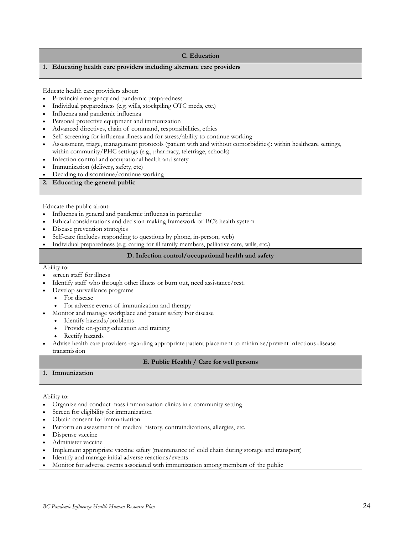#### **C. Education**

#### **1. Educating health care providers including alternate care providers**

Educate health care providers about:

- Provincial emergency and pandemic preparedness
- Individual preparedness (e.g. wills, stockpiling OTC meds, etc.)
- Influenza and pandemic influenza
- Personal protective equipment and immunization
- Advanced directives, chain of command, responsibilities, ethics
- Self screening for influenza illness and for stress/ability to continue working
- Assessment, triage, management protocols (patient with and without comorbidities): within healthcare settings, within community/PHC settings (e.g., pharmacy, teletriage, schools)
- Infection control and occupational health and safety
- Immunization (delivery, safety, etc)
- Deciding to discontinue/continue working

## **2. Educating the general public**

Educate the public about:

- Influenza in general and pandemic influenza in particular
- Ethical considerations and decision-making framework of BC's health system
- Disease prevention strategies
- Self-care (includes responding to questions by phone, in-person, web)
- Individual preparedness (e.g. caring for ill family members, palliative care, wills, etc.)

#### **D. Infection control/occupational health and safety**

Ability to:

- screen staff for illness
- Identify staff who through other illness or burn out, need assistance/rest.
- Develop surveillance programs
	- For disease
	- For adverse events of immunization and therapy
- Monitor and manage workplace and patient safety For disease
	- Identify hazards/problems
	- Provide on-going education and training
	- Rectify hazards
- Advise health care providers regarding appropriate patient placement to minimize/prevent infectious disease transmission

#### **E. Public Health / Care for well persons**

#### **1. Immunization**

#### Ability to:

- Organize and conduct mass immunization clinics in a community setting
- Screen for eligibility for immunization
- Obtain consent for immunization
- Perform an assessment of medical history, contraindications, allergies, etc.
- Dispense vaccine
- Administer vaccine
- Implement appropriate vaccine safety (maintenance of cold chain during storage and transport)
- Identify and manage initial adverse reactions/events
- Monitor for adverse events associated with immunization among members of the public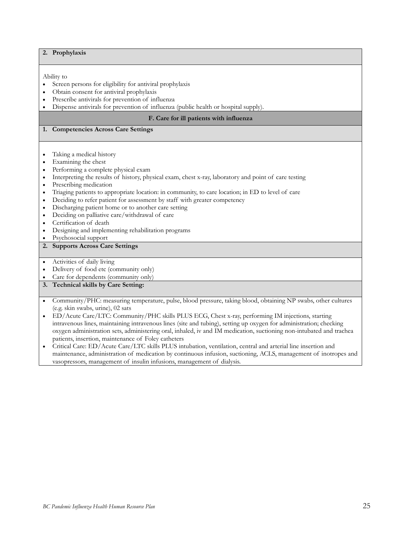|                                         | 2. Prophylaxis                                                                                                      |  |
|-----------------------------------------|---------------------------------------------------------------------------------------------------------------------|--|
|                                         |                                                                                                                     |  |
|                                         |                                                                                                                     |  |
|                                         | Ability to                                                                                                          |  |
| $\bullet$                               | Screen persons for eligibility for antiviral prophylaxis                                                            |  |
| $\bullet$                               | Obtain consent for antiviral prophylaxis                                                                            |  |
| $\bullet$                               | Prescribe antivirals for prevention of influenza                                                                    |  |
| $\bullet$                               | Dispense antivirals for prevention of influenza (public health or hospital supply).                                 |  |
| F. Care for ill patients with influenza |                                                                                                                     |  |
| 1.                                      | <b>Competencies Across Care Settings</b>                                                                            |  |
|                                         |                                                                                                                     |  |
|                                         |                                                                                                                     |  |
|                                         | Taking a medical history                                                                                            |  |
|                                         | Examining the chest                                                                                                 |  |
| $\bullet$                               | Performing a complete physical exam                                                                                 |  |
| $\bullet$                               | Interpreting the results of history, physical exam, chest x-ray, laboratory and point of care testing               |  |
| $\bullet$                               | Prescribing medication                                                                                              |  |
| $\bullet$                               | Triaging patients to appropriate location: in community, to care location; in ED to level of care                   |  |
| $\bullet$                               | Deciding to refer patient for assessment by staff with greater competency                                           |  |
| $\bullet$                               | Discharging patient home or to another care setting                                                                 |  |
| $\bullet$                               | Deciding on palliative care/withdrawal of care                                                                      |  |
| $\bullet$                               | Certification of death                                                                                              |  |
| $\bullet$                               | Designing and implementing rehabilitation programs                                                                  |  |
| $\bullet$                               | Psychosocial support                                                                                                |  |
| 2.                                      | <b>Supports Across Care Settings</b>                                                                                |  |
|                                         |                                                                                                                     |  |
| $\bullet$                               | Activities of daily living                                                                                          |  |
| $\bullet$                               | Delivery of food etc (community only)                                                                               |  |
|                                         | Care for dependents (community only)                                                                                |  |
|                                         | 3. Technical skills by Care Setting:                                                                                |  |
|                                         |                                                                                                                     |  |
| $\bullet$                               | Community/PHC: measuring temperature, pulse, blood pressure, taking blood, obtaining NP swabs, other cultures       |  |
|                                         | (e.g. skin swabs, urine), 02 sats                                                                                   |  |
|                                         | ED/Acute Care/LTC: Community/PHC skills PLUS ECG, Chest x-ray, performing IM injections, starting                   |  |
|                                         | intravenous lines, maintaining intravenous lines (site and tubing), setting up oxygen for administration; checking  |  |
|                                         | oxygen administration sets, administering oral, inhaled, iv and IM medication, suctioning non-intubated and trachea |  |
|                                         | patients, insertion, maintenance of Foley catheters                                                                 |  |

• Critical Care: ED/Acute Care/LTC skills PLUS intubation, ventilation, central and arterial line insertion and maintenance, administration of medication by continuous infusion, suctioning, ACLS, management of inotropes and vasopressors, management of insulin infusions, management of dialysis.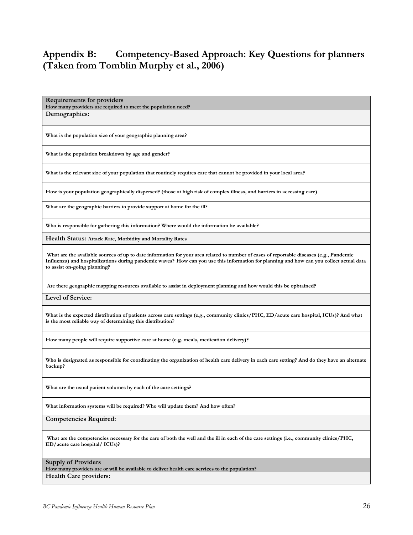# <span id="page-27-0"></span>**Appendix B: Competency-Based Approach: Key Questions for planners (Taken from Tomblin Murphy et al., 2006)**

**Requirements for providers How many providers are required to meet the population need? Demographics:**

**What is the population size of your geographic planning area?**

**What is the population breakdown by age and gender?**

**What is the relevant size of your population that routinely requires care that cannot be provided in your local area?**

**How is your population geographically dispersed? (those at high risk of complex illness, and barriers in accessing care)**

**What are the geographic barriers to provide support at home for the ill?** 

**Who is responsible for gathering this information? Where would the information be available?**

**Health Status: Attack Rate, Morbidity and Mortality Rates**

**What are the available sources of up to date information for your area related to number of cases of reportable diseases (e.g., Pandemic Influenza) and hospitalizations during pandemic waves? How can you use this information for planning and how can you collect actual data to assist on-going planning?**

**Are there geographic mapping resources available to assist in deployment planning and how would this be opbtained?**

**Level of Service:**

**What is the expected distribution of patients across care settings (e.g., community clinics/PHC, ED/acute care hospital, ICUs)? And what is the most reliable way of determining this distribution?**

**How many people will require supportive care at home (e.g. meals, medication delivery)?**

**Who is designated as responsible for coordinating the organization of health care delivery in each care setting? And do they have an alternate backup?**

**What are the usual patient volumes by each of the care settings?**

**What information systems will be required? Who will update them? And how often?**

#### **Competencies Required:**

What are the competencies necessary for the care of both the well and the ill in each of the care settings (i.e., community clinics/PHC, **ED/acute care hospital/ ICUs)?**

#### **Supply of Providers**

**How many providers are or will be available to deliver health care services to the population? Health Care providers:**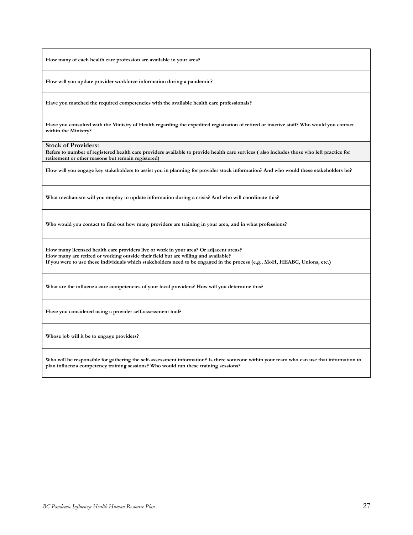**How many of each health care profession are available in your area?**

**How will you update provider workforce information during a pandemic?**

**Have you matched the required competencies with the available health care professionals?**

**Have you consulted with the Ministry of Health regarding the expedited registration of retired or inactive staff? Who would you contact within the Ministry?**

**Stock of Providers:**

**Refers to number of registered health care providers available to provide health care services ( also includes those who left practice for retirement or other reasons but remain registered)**

**How will you engage key stakeholders to assist you in planning for provider stock information? And who would these stakeholders be?**

**What mechanism will you employ to update information during a crisis? And who will coordinate this?**

**Who would you contact to find out how many providers are training in your area, and in what professions?**

**How many licensed health care providers live or work in your area? Or adjacent areas? How many are retired or working outside their field but are willing and available? If you were to use these individuals which stakeholders need to be engaged in the process (e.g., MoH, HEABC, Unions, etc.)**

**What are the influenza care competencies of your local providers? How will you determine this?**

**Have you considered using a provider self-assessment tool?**

**Whose job will it be to engage providers?**

**Who will be responsible for gathering the self-assessment information? Is there someone within your team who can use that information to plan influenza competency training sessions? Who would run these training sessions?**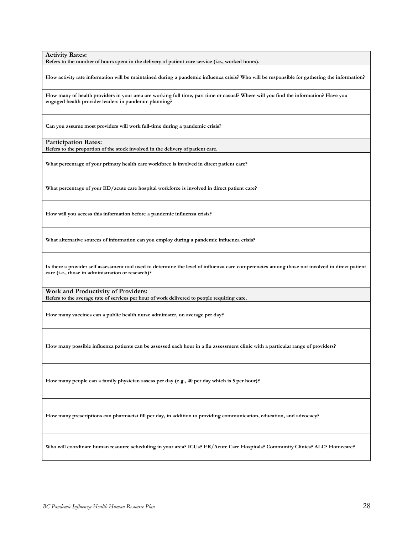**Activity Rates:**

**Refers to the number of hours spent in the delivery of patient care service (i.e., worked hours).**

**How activity rate information will be maintained during a pandemic influenza crisis? Who will be responsible for gathering the information?**

**How many of health providers in your area are working full time, part time or casual? Where will you find the information? Have you engaged health provider leaders in pandemic planning?**

**Can you assume most providers will work full-time during a pandemic crisis?**

**Participation Rates:**

**Refers to the proportion of the stock involved in the delivery of patient care.**

**What percentage of your primary health care workforce is involved in direct patient care?**

**What percentage of your ED/acute care hospital workforce is involved in direct patient care?**

**How will you access this information before a pandemic influenza crisis?**

**What alternative sources of information can you employ during a pandemic influenza crisis?**

**Is there a provider self assessment tool used to determine the level of influenza care competencies among those not involved in direct patient care (i.e., those in administration or research)?**

**Work and Productivity of Providers: Refers to the average rate of services per hour of work delivered to people requiring care.**

**How many vaccines can a public health nurse administer, on average per day?**

**How many possible influenza patients can be assessed each hour in a flu assessment clinic with a particular range of providers?**

**How many people can a family physician assess per day (e.g., 40 per day which is 5 per hour)?**

**How many prescriptions can pharmacist fill per day, in addition to providing communication, education, and advocacy?**

**Who will coordinate human resource scheduling in your area? ICUs? ER/Acute Care Hospitals? Community Clinics? ALC? Homecare?**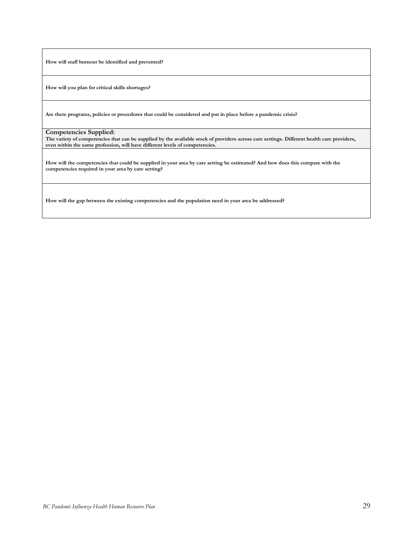**How will staff burnout be identified and prevented?**

**How will you plan for critical skills shortages?**

**Are there programs, policies or procedures that could be considered and put in place before a pandemic crisis?**

**Competencies Supplied:**

**The variety of competencies that can be supplied by the available stock of providers across care settings. Different health care providers, even within the same profession, will have different levels of competencies.**

**How will the competencies that could be supplied in your area by care setting be estimated? And how does this compare with the competencies required in your area by care setting?**

**How will the gap between the existing competencies and the population need in your area be addressed?**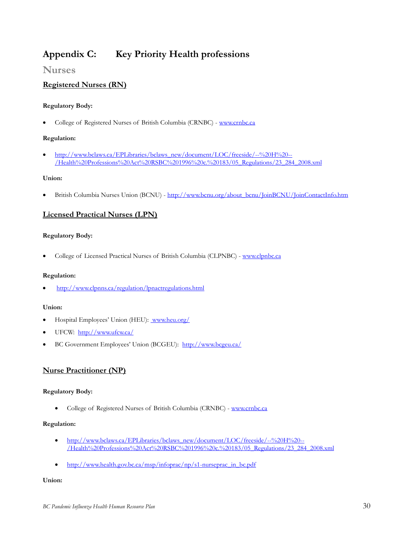# <span id="page-31-0"></span>**Appendix C: Key Priority Health professions**

# **Nurses**

## **Registered Nurses (RN)**

#### **Regulatory Body:**

• College of Registered Nurses of British Columbia (CRNBC) - [www.crnbc.ca](http://www.crnbc.ca/)

#### **Regulation:**

• [http://www.bclaws.ca/EPLibraries/bclaws\\_new/document/LOC/freeside/--%20H%20--](http://www.bclaws.ca/EPLibraries/bclaws_new/document/LOC/freeside/--%20H%20--/Health%20Professions%20Act%20RSBC%201996%20c.%20183/05_Regulations/23_284_2008.xml) [/Health%20Professions%20Act%20RSBC%201996%20c.%20183/05\\_Regulations/23\\_284\\_2008.xml](http://www.bclaws.ca/EPLibraries/bclaws_new/document/LOC/freeside/--%20H%20--/Health%20Professions%20Act%20RSBC%201996%20c.%20183/05_Regulations/23_284_2008.xml)

#### **Union:**

• British Columbia Nurses Union (BCNU) - [http://www.bcnu.org/about\\_bcnu/JoinBCNU/JoinContactInfo.htm](http://www.bcnu.org/about_bcnu/JoinBCNU/JoinContactInfo.htm)

### **Licensed Practical Nurses (LPN)**

#### **Regulatory Body:**

• College of Licensed Practical Nurses of British Columbia (CLPNBC) - [www.clpnbc.ca](http://www.clpnbc.ca/)

#### **Regulation:**

• <http://www.clpnns.ca/regulation/lpnactregulations.html>

#### **Union:**

- Hospital Employees' Union (HEU): [www.heu.org/](http://www.heu.org/)
- UFCW: <http://www.ufcw.ca/>
- BC Government Employees' Union (BCGEU): <http://www.bcgeu.ca/>

### **Nurse Practitioner (NP)**

#### **Regulatory Body:**

• College of Registered Nurses of British Columbia (CRNBC) - [www.crnbc.ca](http://www.crnbc.ca/)

#### **Regulation:**

- [http://www.bclaws.ca/EPLibraries/bclaws\\_new/document/LOC/freeside/--%20H%20--](http://www.bclaws.ca/EPLibraries/bclaws_new/document/LOC/freeside/--%20H%20--/Health%20Professions%20Act%20RSBC%201996%20c.%20183/05_Regulations/23_284_2008.xml) [/Health%20Professions%20Act%20RSBC%201996%20c.%20183/05\\_Regulations/23\\_284\\_2008.xml](http://www.bclaws.ca/EPLibraries/bclaws_new/document/LOC/freeside/--%20H%20--/Health%20Professions%20Act%20RSBC%201996%20c.%20183/05_Regulations/23_284_2008.xml)
- [http://www.health.gov.bc.ca/msp/infoprac/np/s1-nurseprac\\_in\\_bc.pdf](http://www.health.gov.bc.ca/msp/infoprac/np/s1-nurseprac_in_bc.pdf)

#### **Union:**